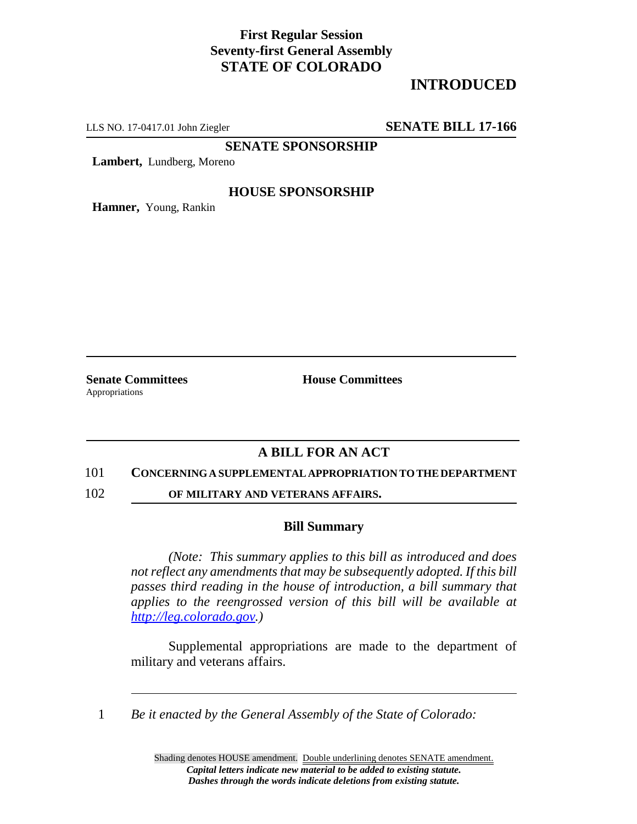## **First Regular Session Seventy-first General Assembly STATE OF COLORADO**

# **INTRODUCED**

LLS NO. 17-0417.01 John Ziegler **SENATE BILL 17-166**

**SENATE SPONSORSHIP**

**Lambert,** Lundberg, Moreno

#### **HOUSE SPONSORSHIP**

**Hamner,** Young, Rankin

Appropriations

**Senate Committees House Committees** 

### **A BILL FOR AN ACT**

#### 101 **CONCERNING A SUPPLEMENTAL APPROPRIATION TO THE DEPARTMENT**

102 **OF MILITARY AND VETERANS AFFAIRS.**

#### **Bill Summary**

*(Note: This summary applies to this bill as introduced and does not reflect any amendments that may be subsequently adopted. If this bill passes third reading in the house of introduction, a bill summary that applies to the reengrossed version of this bill will be available at http://leg.colorado.gov.)*

Supplemental appropriations are made to the department of military and veterans affairs.

1 *Be it enacted by the General Assembly of the State of Colorado:*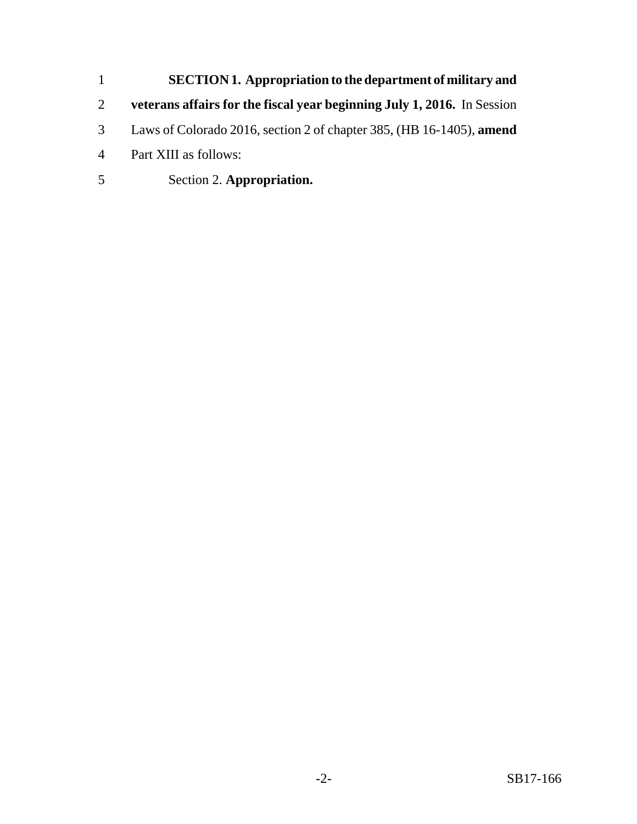**SECTION 1. Appropriation to the department of military and veterans affairs for the fiscal year beginning July 1, 2016.** In Session Laws of Colorado 2016, section 2 of chapter 385, (HB 16-1405), **amend** Part XIII as follows: Section 2. **Appropriation.**

-2- SB17-166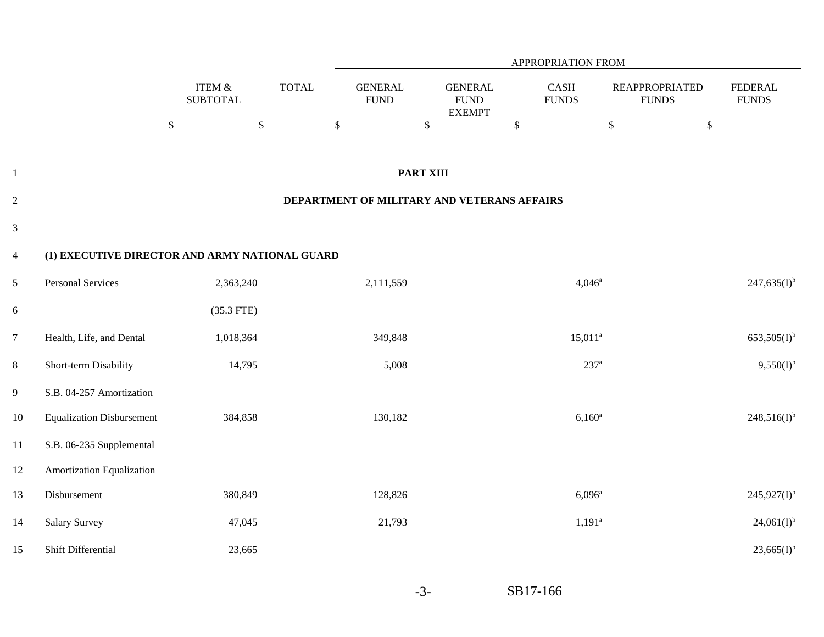|                |                                                |                              |              |                               |                                                | APPROPRIATION FROM   |                                       |                                |
|----------------|------------------------------------------------|------------------------------|--------------|-------------------------------|------------------------------------------------|----------------------|---------------------------------------|--------------------------------|
|                |                                                | ITEM $\&$<br><b>SUBTOTAL</b> | <b>TOTAL</b> | <b>GENERAL</b><br><b>FUND</b> | <b>GENERAL</b><br><b>FUND</b><br><b>EXEMPT</b> | CASH<br><b>FUNDS</b> | <b>REAPPROPRIATED</b><br><b>FUNDS</b> | <b>FEDERAL</b><br><b>FUNDS</b> |
|                |                                                | $\mathbb{S}$<br>$\mathbb{S}$ |              | $\mathbb S$                   | $\mathbb{S}$                                   | $\$$                 | $\mathbb{S}$<br>$\mathbb{S}$          |                                |
|                |                                                |                              |              |                               |                                                |                      |                                       |                                |
| $\mathbf{1}$   |                                                |                              |              |                               | <b>PART XIII</b>                               |                      |                                       |                                |
| $\overline{2}$ |                                                |                              |              |                               | DEPARTMENT OF MILITARY AND VETERANS AFFAIRS    |                      |                                       |                                |
| $\mathfrak{Z}$ |                                                |                              |              |                               |                                                |                      |                                       |                                |
| $\overline{4}$ | (1) EXECUTIVE DIRECTOR AND ARMY NATIONAL GUARD |                              |              |                               |                                                |                      |                                       |                                |
| 5              | <b>Personal Services</b>                       | 2,363,240                    |              | 2,111,559                     |                                                | $4,046^{\rm a}$      |                                       | $247,635(I)^{b}$               |
| 6              |                                                | $(35.3$ FTE)                 |              |                               |                                                |                      |                                       |                                |
| $\overline{7}$ | Health, Life, and Dental                       | 1,018,364                    |              | 349,848                       |                                                | $15,011^a$           |                                       | $653,505(1)$ <sup>b</sup>      |
| $8\,$          | Short-term Disability                          | 14,795                       |              | 5,008                         |                                                | $237^{\rm a}$        |                                       | $9,550(I)^{b}$                 |
| $\overline{9}$ | S.B. 04-257 Amortization                       |                              |              |                               |                                                |                      |                                       |                                |
| 10             | <b>Equalization Disbursement</b>               | 384,858                      |              | 130,182                       |                                                | $6,160^a$            |                                       | $248,516(I)^{b}$               |
| 11             | S.B. 06-235 Supplemental                       |                              |              |                               |                                                |                      |                                       |                                |
| 12             | Amortization Equalization                      |                              |              |                               |                                                |                      |                                       |                                |
| 13             | Disbursement                                   | 380,849                      |              | 128,826                       |                                                | $6,096^{\rm a}$      |                                       | $245,927(I)^{b}$               |
| 14             | <b>Salary Survey</b>                           | 47,045                       |              | 21,793                        |                                                | $1,191^{\circ}$      |                                       | $24,061(I)^{b}$                |
| 15             | Shift Differential                             | 23,665                       |              |                               |                                                |                      |                                       | $23,665(I)^{b}$                |

SB17-166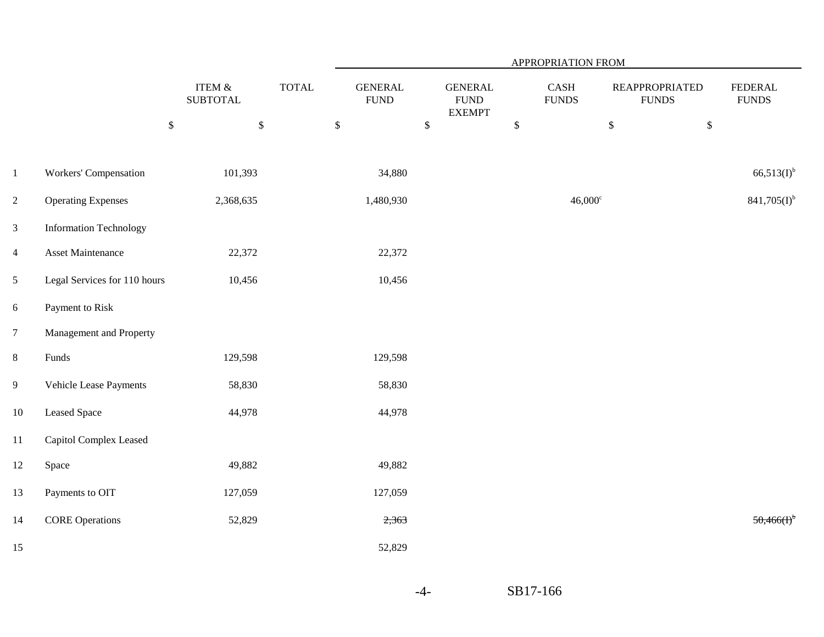|                 |                               |                              |              | APPROPRIATION FROM             |                                                 |      |                                           |                                       |                                |  |  |
|-----------------|-------------------------------|------------------------------|--------------|--------------------------------|-------------------------------------------------|------|-------------------------------------------|---------------------------------------|--------------------------------|--|--|
|                 |                               | ITEM $\&$<br><b>SUBTOTAL</b> | <b>TOTAL</b> | <b>GENERAL</b><br>${\rm FUND}$ | <b>GENERAL</b><br>${\rm FUND}$<br><b>EXEMPT</b> |      | $\operatorname{CASH}$<br>${\hbox{FUNDS}}$ | <b>REAPPROPRIATED</b><br><b>FUNDS</b> | <b>FEDERAL</b><br><b>FUNDS</b> |  |  |
|                 |                               | $\mathbb{S}$<br>$\mathbb{S}$ | $\mathbb S$  |                                | $\$$                                            | $\$$ |                                           | $\$\,$<br>$\mathbb{S}$                |                                |  |  |
| $\mathbf{1}$    | Workers' Compensation         | 101,393                      |              | 34,880                         |                                                 |      |                                           |                                       | $66,513(I)^{b}$                |  |  |
| $\overline{2}$  | <b>Operating Expenses</b>     | 2,368,635                    |              | 1,480,930                      |                                                 |      | $46,000^{\circ}$                          |                                       | $841,705(I)^{b}$               |  |  |
| $\overline{3}$  | <b>Information Technology</b> |                              |              |                                |                                                 |      |                                           |                                       |                                |  |  |
| $\overline{4}$  | Asset Maintenance             | 22,372                       |              | 22,372                         |                                                 |      |                                           |                                       |                                |  |  |
| 5               | Legal Services for 110 hours  | 10,456                       |              | 10,456                         |                                                 |      |                                           |                                       |                                |  |  |
| $6\phantom{.}6$ | Payment to Risk               |                              |              |                                |                                                 |      |                                           |                                       |                                |  |  |
| $\overline{7}$  | Management and Property       |                              |              |                                |                                                 |      |                                           |                                       |                                |  |  |
| $8\,$           | Funds                         | 129,598                      |              | 129,598                        |                                                 |      |                                           |                                       |                                |  |  |
| $\overline{9}$  | Vehicle Lease Payments        | 58,830                       |              | 58,830                         |                                                 |      |                                           |                                       |                                |  |  |
| $10\,$          | <b>Leased Space</b>           | 44,978                       |              | 44,978                         |                                                 |      |                                           |                                       |                                |  |  |
| $11\,$          | Capitol Complex Leased        |                              |              |                                |                                                 |      |                                           |                                       |                                |  |  |
| 12              | Space                         | 49,882                       |              | 49,882                         |                                                 |      |                                           |                                       |                                |  |  |
| 13              | Payments to OIT               | 127,059                      |              | 127,059                        |                                                 |      |                                           |                                       |                                |  |  |
| 14              | <b>CORE Operations</b>        | 52,829                       |              | 2,363                          |                                                 |      |                                           |                                       | 50,466(f)                      |  |  |
| 15              |                               |                              |              | 52,829                         |                                                 |      |                                           |                                       |                                |  |  |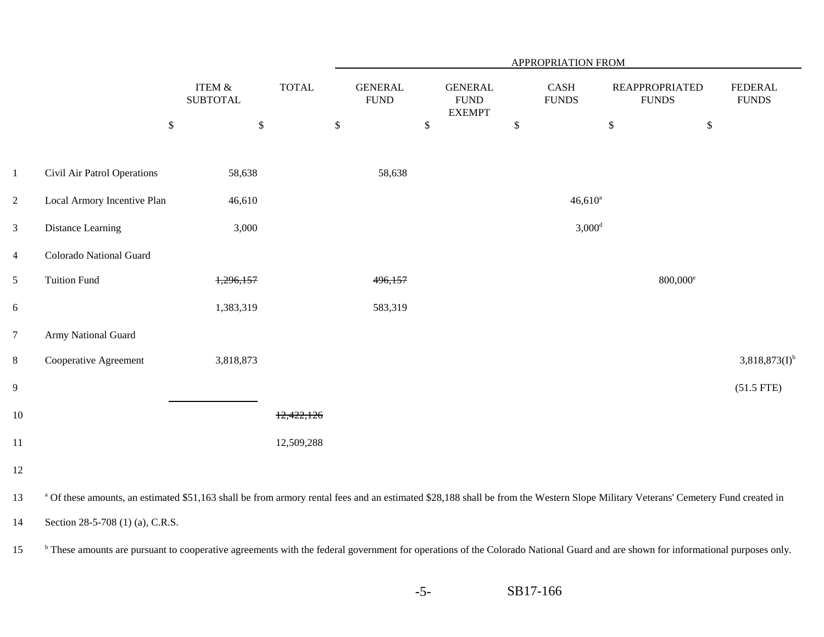|                  |                                                                                                                                                                                             |                              |              | <b>APPROPRIATION FROM</b>     |                                                 |                      |                                       |                   |                                |  |  |
|------------------|---------------------------------------------------------------------------------------------------------------------------------------------------------------------------------------------|------------------------------|--------------|-------------------------------|-------------------------------------------------|----------------------|---------------------------------------|-------------------|--------------------------------|--|--|
|                  |                                                                                                                                                                                             | ITEM &<br><b>SUBTOTAL</b>    | <b>TOTAL</b> | <b>GENERAL</b><br><b>FUND</b> | <b>GENERAL</b><br>${\rm FUND}$<br><b>EXEMPT</b> | CASH<br><b>FUNDS</b> | <b>REAPPROPRIATED</b><br><b>FUNDS</b> |                   | <b>FEDERAL</b><br><b>FUNDS</b> |  |  |
|                  |                                                                                                                                                                                             | $\mathbb{S}$<br>$\mathbb{S}$ |              | $\mathbb{S}$                  | $\mathsf{\$}$                                   | $\$$                 | $\$$                                  | $\mathbb{S}$      |                                |  |  |
|                  |                                                                                                                                                                                             |                              |              |                               |                                                 |                      |                                       |                   |                                |  |  |
| $\mathbf{1}$     | Civil Air Patrol Operations                                                                                                                                                                 | 58,638                       |              | 58,638                        |                                                 |                      |                                       |                   |                                |  |  |
| $\overline{2}$   | Local Armory Incentive Plan                                                                                                                                                                 | 46,610                       |              |                               |                                                 |                      | $46,610^a$                            |                   |                                |  |  |
| $\mathfrak{Z}$   | Distance Learning                                                                                                                                                                           | 3,000                        |              |                               |                                                 |                      | $3,000$ <sup>d</sup>                  |                   |                                |  |  |
| $\overline{4}$   | Colorado National Guard                                                                                                                                                                     |                              |              |                               |                                                 |                      |                                       |                   |                                |  |  |
| $\mathfrak s$    | <b>Tuition Fund</b>                                                                                                                                                                         | 1,296,157                    |              | 496,157                       |                                                 |                      |                                       | $800,000^{\circ}$ |                                |  |  |
| 6                |                                                                                                                                                                                             | 1,383,319                    |              | 583,319                       |                                                 |                      |                                       |                   |                                |  |  |
| $\boldsymbol{7}$ | Army National Guard                                                                                                                                                                         |                              |              |                               |                                                 |                      |                                       |                   |                                |  |  |
| $\,8\,$          | Cooperative Agreement                                                                                                                                                                       | 3,818,873                    |              |                               |                                                 |                      |                                       |                   | $3,818,873(I)^{b}$             |  |  |
| $\boldsymbol{9}$ |                                                                                                                                                                                             |                              |              |                               |                                                 |                      |                                       |                   | $(51.5$ FTE)                   |  |  |
| 10               |                                                                                                                                                                                             |                              | 12,422,126   |                               |                                                 |                      |                                       |                   |                                |  |  |
| 11               |                                                                                                                                                                                             |                              | 12,509,288   |                               |                                                 |                      |                                       |                   |                                |  |  |
| 12               |                                                                                                                                                                                             |                              |              |                               |                                                 |                      |                                       |                   |                                |  |  |
| 13               | <sup>a</sup> Of these amounts, an estimated \$51,163 shall be from armory rental fees and an estimated \$28,188 shall be from the Western Slope Military Veterans' Cemetery Fund created in |                              |              |                               |                                                 |                      |                                       |                   |                                |  |  |
| 14               | Section 28-5-708 (1) (a), C.R.S.                                                                                                                                                            |                              |              |                               |                                                 |                      |                                       |                   |                                |  |  |
| 15               | <sup>b</sup> These amounts are pursuant to cooperative agreements with the federal government for operations of the Colorado National Guard and are shown for informational purposes only.  |                              |              |                               |                                                 |                      |                                       |                   |                                |  |  |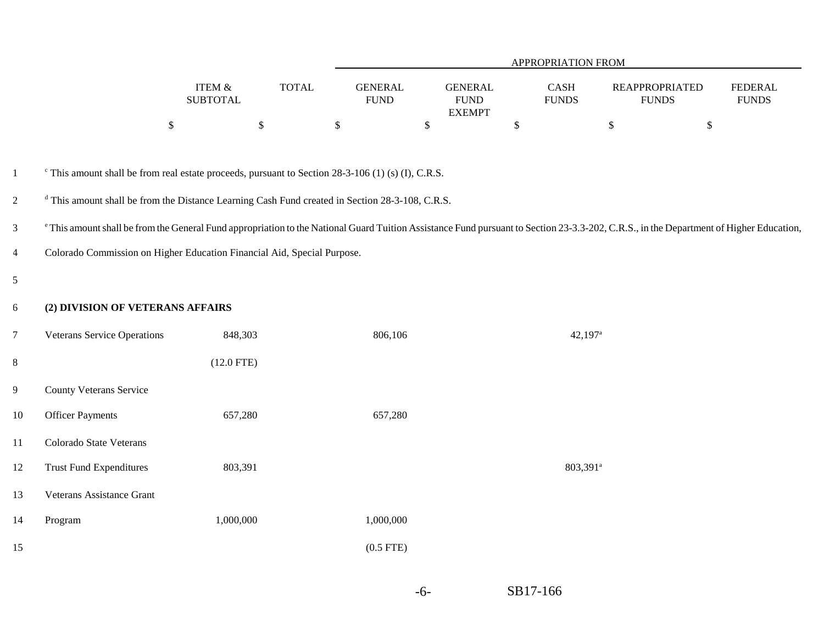|                 |                                                                                                                                                                                                    |                              |              |                                |                                                 | APPROPRIATION FROM            |                       |                                       |                                |
|-----------------|----------------------------------------------------------------------------------------------------------------------------------------------------------------------------------------------------|------------------------------|--------------|--------------------------------|-------------------------------------------------|-------------------------------|-----------------------|---------------------------------------|--------------------------------|
|                 |                                                                                                                                                                                                    | ITEM $\&$<br><b>SUBTOTAL</b> | <b>TOTAL</b> | <b>GENERAL</b><br>${\rm FUND}$ | <b>GENERAL</b><br>${\rm FUND}$<br><b>EXEMPT</b> | $\mbox{CASH}$<br><b>FUNDS</b> |                       | <b>REAPPROPRIATED</b><br><b>FUNDS</b> | <b>FEDERAL</b><br><b>FUNDS</b> |
|                 |                                                                                                                                                                                                    | $\mathbb{S}$                 | \$           | $\mathbb{S}$                   | $\$$                                            | $\$$                          |                       | \$                                    | $\$$                           |
| $\mathbf{1}$    | $\textdegree$ This amount shall be from real estate proceeds, pursuant to Section 28-3-106 (1) (s) (I), C.R.S.                                                                                     |                              |              |                                |                                                 |                               |                       |                                       |                                |
| $\overline{2}$  | <sup>d</sup> This amount shall be from the Distance Learning Cash Fund created in Section 28-3-108, C.R.S.                                                                                         |                              |              |                                |                                                 |                               |                       |                                       |                                |
| $\mathfrak{Z}$  | <sup>e</sup> This amount shall be from the General Fund appropriation to the National Guard Tuition Assistance Fund pursuant to Section 23-3.3-202, C.R.S., in the Department of Higher Education, |                              |              |                                |                                                 |                               |                       |                                       |                                |
| $\overline{4}$  | Colorado Commission on Higher Education Financial Aid, Special Purpose.                                                                                                                            |                              |              |                                |                                                 |                               |                       |                                       |                                |
| $\mathfrak{S}$  |                                                                                                                                                                                                    |                              |              |                                |                                                 |                               |                       |                                       |                                |
| 6               | (2) DIVISION OF VETERANS AFFAIRS                                                                                                                                                                   |                              |              |                                |                                                 |                               |                       |                                       |                                |
| $7\phantom{.0}$ | <b>Veterans Service Operations</b>                                                                                                                                                                 | 848,303                      |              | 806,106                        |                                                 |                               | $42,197$ <sup>a</sup> |                                       |                                |
| $8\,$           |                                                                                                                                                                                                    | $(12.0$ FTE)                 |              |                                |                                                 |                               |                       |                                       |                                |
| $\overline{9}$  | <b>County Veterans Service</b>                                                                                                                                                                     |                              |              |                                |                                                 |                               |                       |                                       |                                |
| 10              | <b>Officer Payments</b>                                                                                                                                                                            | 657,280                      |              | 657,280                        |                                                 |                               |                       |                                       |                                |
| 11              | Colorado State Veterans                                                                                                                                                                            |                              |              |                                |                                                 |                               |                       |                                       |                                |
| 12              | <b>Trust Fund Expenditures</b>                                                                                                                                                                     | 803,391                      |              |                                |                                                 |                               | 803,391 <sup>a</sup>  |                                       |                                |
| 13              | Veterans Assistance Grant                                                                                                                                                                          |                              |              |                                |                                                 |                               |                       |                                       |                                |
| 14              | Program                                                                                                                                                                                            | 1,000,000                    |              | 1,000,000                      |                                                 |                               |                       |                                       |                                |
| 15              |                                                                                                                                                                                                    |                              |              | $(0.5$ FTE)                    |                                                 |                               |                       |                                       |                                |
|                 |                                                                                                                                                                                                    |                              |              |                                |                                                 |                               |                       |                                       |                                |

-6-

SB17-166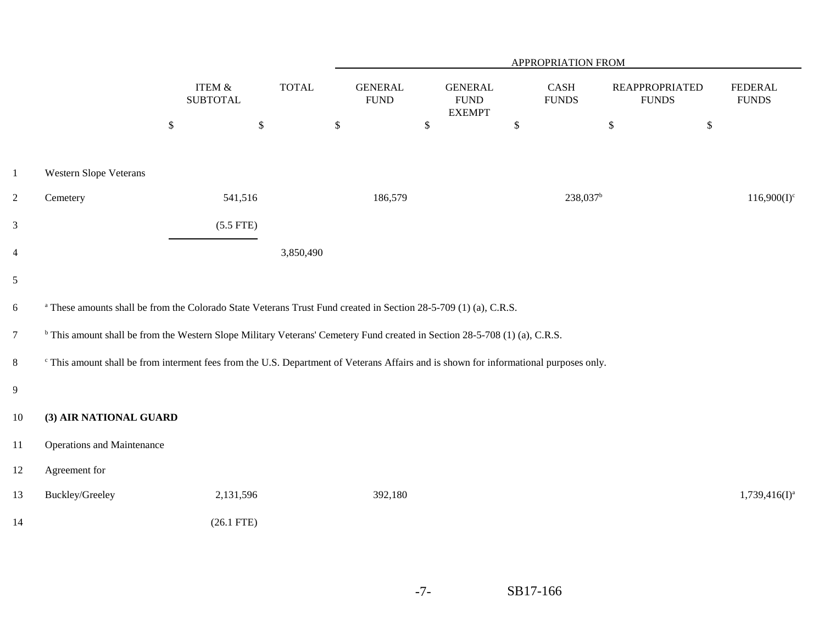|                        |                              |                                                             | APPROPRIATION FROM            |                                |               |                                                                                                                                                                                                                                                                      |                                                                                                                                                                                                  |                                       |  |  |
|------------------------|------------------------------|-------------------------------------------------------------|-------------------------------|--------------------------------|---------------|----------------------------------------------------------------------------------------------------------------------------------------------------------------------------------------------------------------------------------------------------------------------|--------------------------------------------------------------------------------------------------------------------------------------------------------------------------------------------------|---------------------------------------|--|--|
|                        | ITEM $\&$<br><b>SUBTOTAL</b> | <b>TOTAL</b>                                                | <b>GENERAL</b><br><b>FUND</b> | <b>GENERAL</b><br>${\rm FUND}$ |               |                                                                                                                                                                                                                                                                      |                                                                                                                                                                                                  | <b>FEDERAL</b><br><b>FUNDS</b>        |  |  |
|                        | $\$$                         |                                                             | $\mathbb{S}$                  | $\$\,$                         | $\$\,$        | $\mathbb{S}$                                                                                                                                                                                                                                                         | $\$\,$                                                                                                                                                                                           |                                       |  |  |
| Western Slope Veterans |                              |                                                             |                               |                                |               |                                                                                                                                                                                                                                                                      |                                                                                                                                                                                                  |                                       |  |  |
| Cemetery               | 541,516                      |                                                             | 186,579                       |                                |               |                                                                                                                                                                                                                                                                      |                                                                                                                                                                                                  | $116,900(I)^c$                        |  |  |
|                        | $(5.5$ FTE)                  |                                                             |                               |                                |               |                                                                                                                                                                                                                                                                      |                                                                                                                                                                                                  |                                       |  |  |
|                        |                              | 3,850,490                                                   |                               |                                |               |                                                                                                                                                                                                                                                                      |                                                                                                                                                                                                  |                                       |  |  |
|                        |                              |                                                             |                               |                                |               |                                                                                                                                                                                                                                                                      |                                                                                                                                                                                                  |                                       |  |  |
|                        |                              |                                                             |                               |                                |               |                                                                                                                                                                                                                                                                      |                                                                                                                                                                                                  |                                       |  |  |
|                        |                              |                                                             |                               |                                |               |                                                                                                                                                                                                                                                                      |                                                                                                                                                                                                  |                                       |  |  |
|                        |                              |                                                             |                               |                                |               |                                                                                                                                                                                                                                                                      |                                                                                                                                                                                                  |                                       |  |  |
|                        |                              |                                                             |                               |                                |               |                                                                                                                                                                                                                                                                      |                                                                                                                                                                                                  |                                       |  |  |
|                        |                              |                                                             |                               |                                |               |                                                                                                                                                                                                                                                                      |                                                                                                                                                                                                  |                                       |  |  |
|                        |                              |                                                             |                               |                                |               |                                                                                                                                                                                                                                                                      |                                                                                                                                                                                                  |                                       |  |  |
| Agreement for          |                              |                                                             |                               |                                |               |                                                                                                                                                                                                                                                                      |                                                                                                                                                                                                  |                                       |  |  |
| Buckley/Greeley        | 2,131,596                    |                                                             | 392,180                       |                                |               |                                                                                                                                                                                                                                                                      |                                                                                                                                                                                                  | $1,739,416(I)^a$                      |  |  |
|                        | $(26.1$ FTE)                 |                                                             |                               |                                |               |                                                                                                                                                                                                                                                                      |                                                                                                                                                                                                  |                                       |  |  |
|                        |                              | (3) AIR NATIONAL GUARD<br><b>Operations and Maintenance</b> | $\$\,$                        |                                | <b>EXEMPT</b> | <sup>a</sup> These amounts shall be from the Colorado State Veterans Trust Fund created in Section 28-5-709 (1) (a), C.R.S.<br><sup>b</sup> This amount shall be from the Western Slope Military Veterans' Cemetery Fund created in Section 28-5-708 (1) (a), C.R.S. | CASH<br><b>FUNDS</b><br>238,037 <sup>b</sup><br><sup>c</sup> This amount shall be from interment fees from the U.S. Department of Veterans Affairs and is shown for informational purposes only. | <b>REAPPROPRIATED</b><br><b>FUNDS</b> |  |  |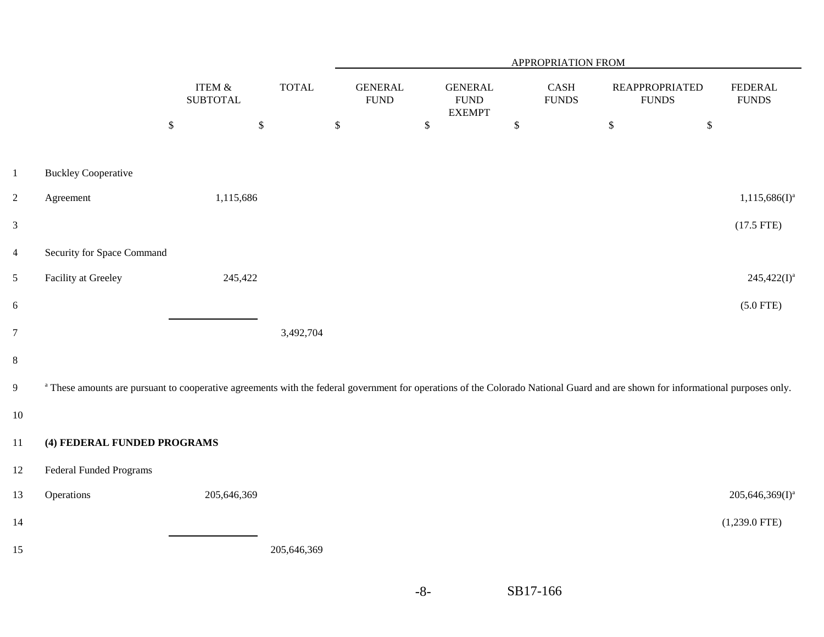|                         |                                                                                                                                                                                            |                              |              | APPROPRIATION FROM            |              |                                                 |                                       |              |                                       |                                |  |
|-------------------------|--------------------------------------------------------------------------------------------------------------------------------------------------------------------------------------------|------------------------------|--------------|-------------------------------|--------------|-------------------------------------------------|---------------------------------------|--------------|---------------------------------------|--------------------------------|--|
|                         |                                                                                                                                                                                            | ITEM $\&$<br><b>SUBTOTAL</b> | <b>TOTAL</b> | <b>GENERAL</b><br><b>FUND</b> |              | <b>GENERAL</b><br>${\rm FUND}$<br><b>EXEMPT</b> | $\operatorname{CASH}$<br><b>FUNDS</b> |              | <b>REAPPROPRIATED</b><br><b>FUNDS</b> | <b>FEDERAL</b><br><b>FUNDS</b> |  |
|                         |                                                                                                                                                                                            | $\mathbb{S}$<br>$\mathbb{S}$ |              | $\mathbb{S}$                  | $\mathbb{S}$ |                                                 | $\$\,$                                | $\mathbb{S}$ | $\mathbb{S}$                          |                                |  |
| $\mathbf{1}$            | <b>Buckley Cooperative</b>                                                                                                                                                                 |                              |              |                               |              |                                                 |                                       |              |                                       |                                |  |
| $\overline{2}$          | Agreement                                                                                                                                                                                  | 1,115,686                    |              |                               |              |                                                 |                                       |              |                                       | $1,115,686(I)^a$               |  |
| $\mathfrak{Z}$          |                                                                                                                                                                                            |                              |              |                               |              |                                                 |                                       |              |                                       | $(17.5$ FTE)                   |  |
| $\overline{\mathbf{4}}$ | Security for Space Command                                                                                                                                                                 |                              |              |                               |              |                                                 |                                       |              |                                       |                                |  |
| $\mathfrak{S}$          | Facility at Greeley                                                                                                                                                                        | 245,422                      |              |                               |              |                                                 |                                       |              |                                       | $245,422(I)^a$                 |  |
| 6                       |                                                                                                                                                                                            |                              |              |                               |              |                                                 |                                       |              |                                       | $(5.0$ FTE)                    |  |
| $\overline{7}$          |                                                                                                                                                                                            |                              | 3,492,704    |                               |              |                                                 |                                       |              |                                       |                                |  |
| 8                       |                                                                                                                                                                                            |                              |              |                               |              |                                                 |                                       |              |                                       |                                |  |
| 9                       | <sup>a</sup> These amounts are pursuant to cooperative agreements with the federal government for operations of the Colorado National Guard and are shown for informational purposes only. |                              |              |                               |              |                                                 |                                       |              |                                       |                                |  |
| $10\,$                  |                                                                                                                                                                                            |                              |              |                               |              |                                                 |                                       |              |                                       |                                |  |
| $11\,$                  | (4) FEDERAL FUNDED PROGRAMS                                                                                                                                                                |                              |              |                               |              |                                                 |                                       |              |                                       |                                |  |
| $12\,$                  | <b>Federal Funded Programs</b>                                                                                                                                                             |                              |              |                               |              |                                                 |                                       |              |                                       |                                |  |
| 13                      | Operations                                                                                                                                                                                 | 205,646,369                  |              |                               |              |                                                 |                                       |              |                                       | $205,646,369(I)^a$             |  |
| 14                      |                                                                                                                                                                                            |                              |              |                               |              |                                                 |                                       |              |                                       | $(1,239.0$ FTE)                |  |
| 15                      |                                                                                                                                                                                            |                              | 205,646,369  |                               |              |                                                 |                                       |              |                                       |                                |  |
|                         |                                                                                                                                                                                            |                              |              |                               |              |                                                 |                                       |              |                                       |                                |  |

SB17-166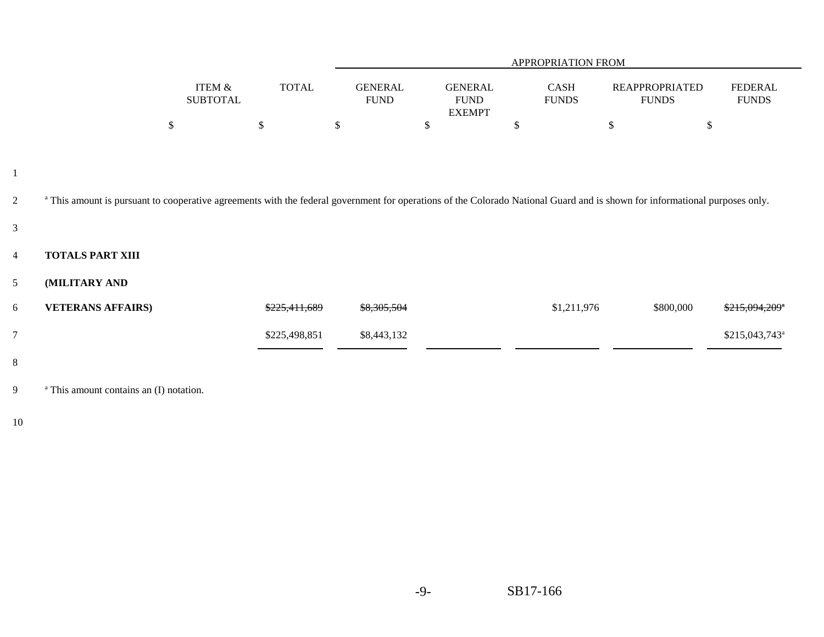|                |                                                                                                                                                                                        |                              |               | APPROPRIATION FROM |    |                           |                                                |                             |                                       |                                |  |  |
|----------------|----------------------------------------------------------------------------------------------------------------------------------------------------------------------------------------|------------------------------|---------------|--------------------|----|---------------------------|------------------------------------------------|-----------------------------|---------------------------------------|--------------------------------|--|--|
|                |                                                                                                                                                                                        | ITEM $\&$<br><b>SUBTOTAL</b> | <b>TOTAL</b>  |                    |    |                           | <b>GENERAL</b><br><b>FUND</b><br><b>EXEMPT</b> | CASH<br><b>FUNDS</b>        | <b>REAPPROPRIATED</b><br><b>FUNDS</b> | <b>FEDERAL</b><br><b>FUNDS</b> |  |  |
|                |                                                                                                                                                                                        | \$                           | $\$\,$        | \$                 | \$ | $\boldsymbol{\mathsf{S}}$ | $\$\,$                                         | $\$$                        |                                       |                                |  |  |
| 1              |                                                                                                                                                                                        |                              |               |                    |    |                           |                                                |                             |                                       |                                |  |  |
| $\overline{2}$ | <sup>a</sup> This amount is pursuant to cooperative agreements with the federal government for operations of the Colorado National Guard and is shown for informational purposes only. |                              |               |                    |    |                           |                                                |                             |                                       |                                |  |  |
| $\mathfrak{Z}$ |                                                                                                                                                                                        |                              |               |                    |    |                           |                                                |                             |                                       |                                |  |  |
| $\overline{4}$ | <b>TOTALS PART XIII</b>                                                                                                                                                                |                              |               |                    |    |                           |                                                |                             |                                       |                                |  |  |
| 5 <sup>5</sup> | (MILITARY AND                                                                                                                                                                          |                              |               |                    |    |                           |                                                |                             |                                       |                                |  |  |
| 6              | <b>VETERANS AFFAIRS)</b>                                                                                                                                                               |                              | \$225,411,689 | \$8,305,504        |    | \$1,211,976               | \$800,000                                      | $$215,094,209$ <sup>a</sup> |                                       |                                |  |  |
| $\overline{7}$ |                                                                                                                                                                                        |                              | \$225,498,851 | \$8,443,132        |    |                           |                                                | \$215,043,743 <sup>a</sup>  |                                       |                                |  |  |
| 8              |                                                                                                                                                                                        |                              |               |                    |    |                           |                                                |                             |                                       |                                |  |  |
| 9              | <sup>a</sup> This amount contains an (I) notation.                                                                                                                                     |                              |               |                    |    |                           |                                                |                             |                                       |                                |  |  |

10